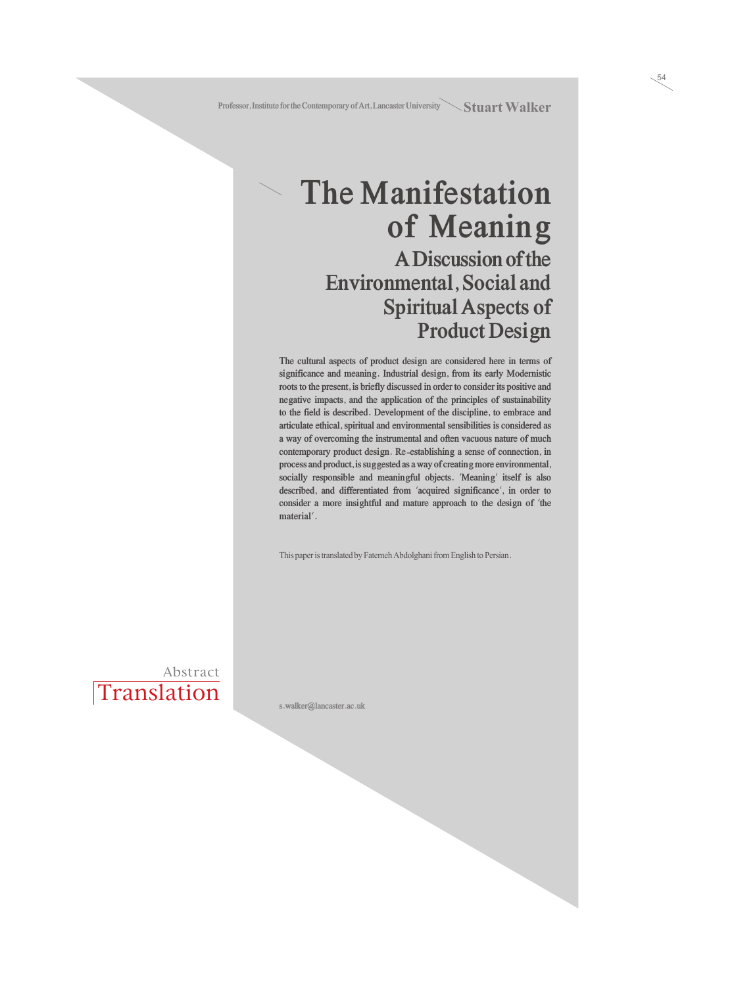### **The Manifestation of Meaning A Discussion of the Environmental, Social and Spiritual Aspects of Product Design**

**The cultural aspects of product design are considered here in terms of significance and meaning. Industrial design, from its early Modernistic roots to the present, is briefly discussed in order to consider its positive and negative impacts, and the application of the principles of sustainability to the field is described. Development of the discipline, to embrace and articulate ethical, spiritual and environmental sensibilities is considered as a way of overcoming the instrumental and often vacuous nature of much contemporary product design. Re-establishing a sense of connection, in process and product, is suggested as a way of creating more environmental, socially responsible and meaningful objects.** '**Meaning**' **itself is also described, and differentiated from** '**acquired significance**'**, in order to consider a more insightful and mature approach to the design of** '**the material**'**.**

This paper is translated by Fatemeh Abdolghani from English to Persian.

**Translation** Abstract

**s.walker@lancaster.ac.uk**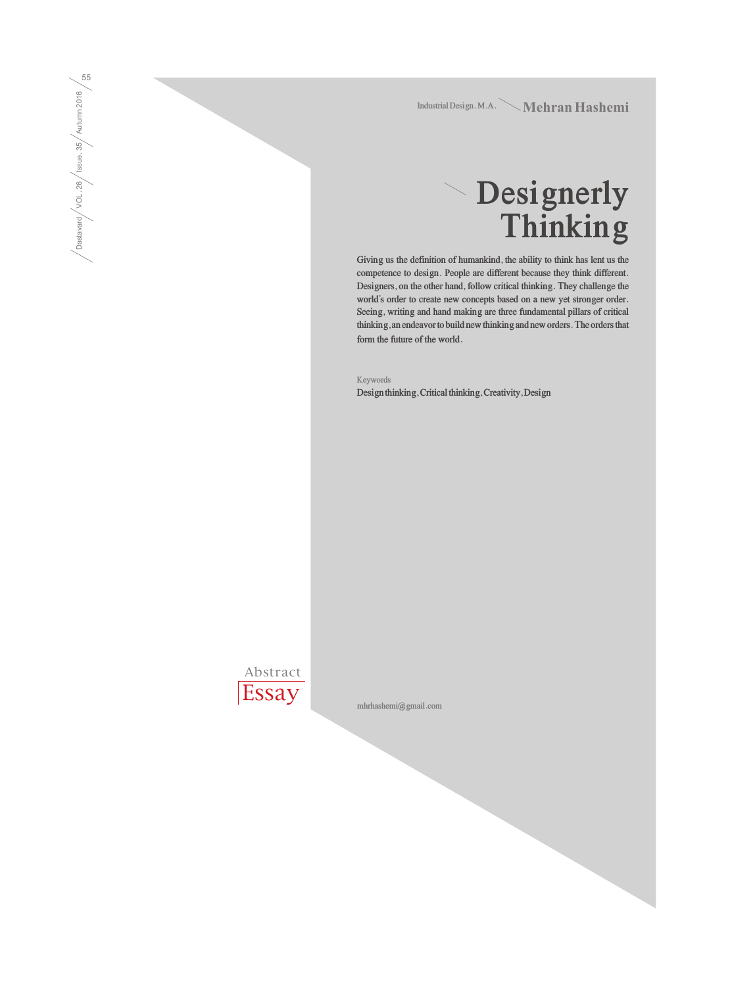Mehran Hashemi **Industrial Design. M.A.**

# **Designerly Thinking**

**Giving us the definition of humankind, the ability to think has lent us the competence to design. People are different because they think different. Designers, on the other hand, follow critical thinking. They challenge the world's order to create new concepts based on a new yet stronger order. Seeing, writing and hand making are three fundamental pillars of critical thinking, an endeavor to build new thinking and new orders. The orders that form the future of the world.**

**Keywords Design thinking, Critical thinking, Creativity, Design**



Dastavard / VOL. 26 / Issue. 35 / Autumn 2016  $\bigg/ \text{Dastavad} \bigg/ \text{VOL}.26 \bigg/ \text{issue}.35 \bigg/ \text{Autumn} \, 2016 \bigg/ \text{GD}$ 

**mhrhashemi@gmail.com**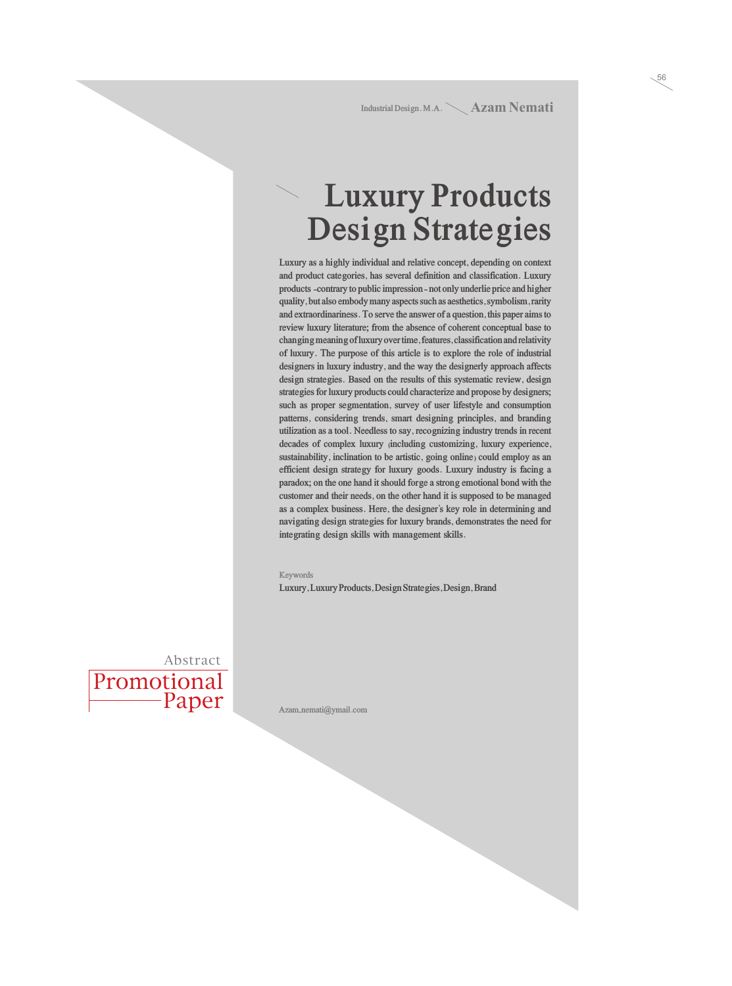Industrial Design. M.A. \ **Azam Nemati** 

56

### **Luxury Products Design Strategies**

**Luxury as a highly individual and relative concept, depending on context and product categories, has several definition and classification. Luxury products -contrary to public impression- not only underlie price and higher quality, but also embody many aspects such as aesthetics, symbolism, rarity and extraordinariness. To serve the answer of a question, this paper aims to review luxury literature; from the absence of coherent conceptual base to changing meaning of luxury over time, features, classification and relativity of luxury. The purpose of this article is to explore the role of industrial designers in luxury industry, and the way the designerly approach affects design strategies. Based on the results of this systematic review, design strategies for luxury products could characterize and propose by designers; such as proper segmentation, survey of user lifestyle and consumption patterns, considering trends, smart designing principles, and branding utilization as a tool. Needless to say, recognizing industry trends in recent decades of complex luxury (including customizing, luxury experience, sustainability, inclination to be artistic, going online) could employ as an efficient design strategy for luxury goods. Luxury industry is facing a paradox; on the one hand it should forge a strong emotional bond with the customer and their needs, on the other hand it is supposed to be managed as a complex business. Here, the designer's key role in determining and navigating design strategies for luxury brands, demonstrates the need for integrating design skills with management skills.**

#### **Keywords**

**Luxury, Luxury Products, Design Strategies, Design, Brand**



**Azam\_nemati@ymail.com**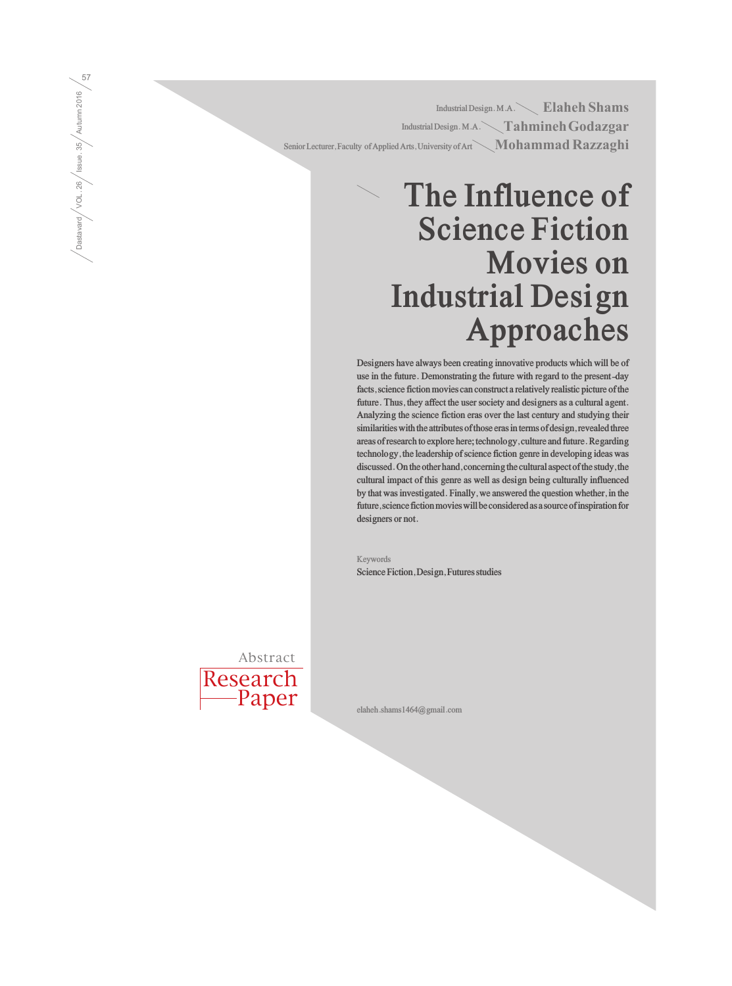Elaheh Shams **Industrial Design. M.A.** Tahmineh Godazgar **Industrial Design. M.A.** Senior Lecturer, Faculty of Applied Arts, University of Art  $\diagdown \mathbf{Mohammad \, Kazzag hi}$ 

## **The Influence of Science Fiction Movies on Industrial Design Approaches**

**Designers have always been creating innovative products which will be of use in the future. Demonstrating the future with regard to the present-day facts, science fiction movies can construct a relatively realistic picture of the future. Thus, they affect the user society and designers as a cultural agent. Analyzing the science fiction eras over the last century and studying their similarities with the attributes of those eras in terms of design, revealed three areas of research to explore here; technology, culture and future. Regarding technology, the leadership of science fiction genre in developing ideas was discussed. On the other hand, concerning the cultural aspect of the study, the cultural impact of this genre as well as design being culturally influenced by that was investigated. Finally, we answered the question whether, in the future, science fiction movies will be considered as a source of inspiration for designers or not.**

**Keywords Science Fiction, Design, Futures studies**

Research Abstract

Paper

**elaheh.shams1464@gmail.com**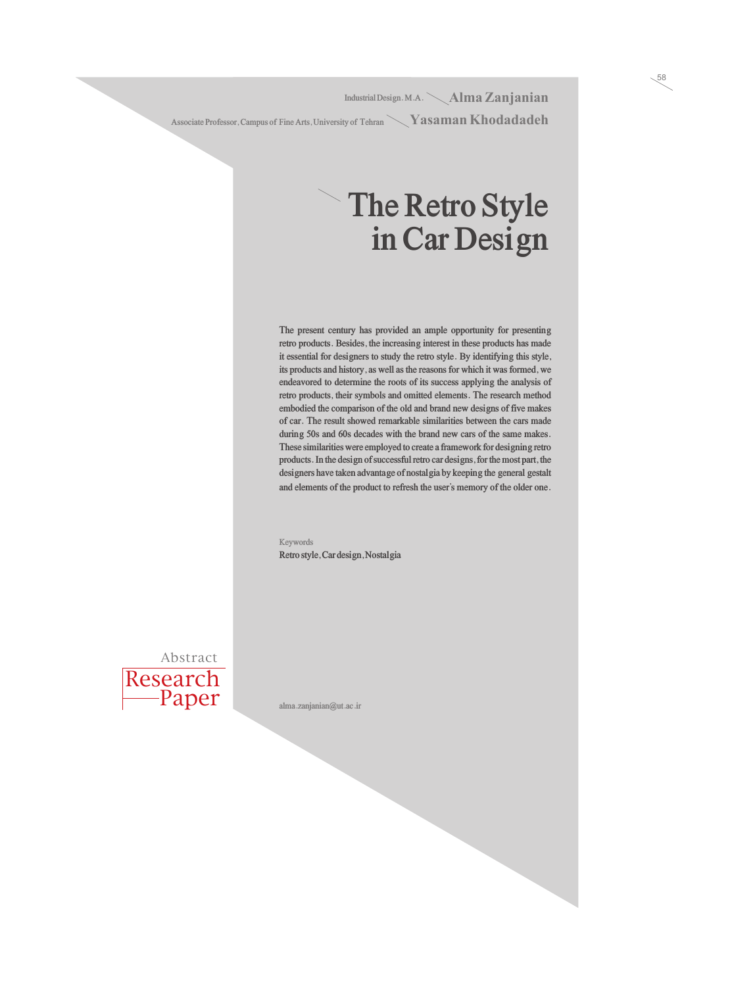Alma Zanjanian **Industrial Design. M.A.**  Associate Professor, Campus of Fine Arts, University of Tehran **Night State 18 (Angle 18)** 

### **The Retro Style in Car Design**

58

**The present century has provided an ample opportunity for presenting retro products. Besides, the increasing interest in these products has made it essential for designers to study the retro style. By identifying this style, its products and history, as well as the reasons for which it was formed, we endeavored to determine the roots of its success applying the analysis of retro products, their symbols and omitted elements. The research method embodied the comparison of the old and brand new designs of five makes of car. The result showed remarkable similarities between the cars made during 50s and 60s decades with the brand new cars of the same makes. These similarities were employed to create a framework for designing retro products. In the design of successful retro car designs, for the most part, the designers have taken advantage of nostalgia by keeping the general gestalt and elements of the product to refresh the user's memory of the older one.** 

**Keywords Retro style, Car design, Nostalgia**



**alma.zanjanian@ut.ac.ir**